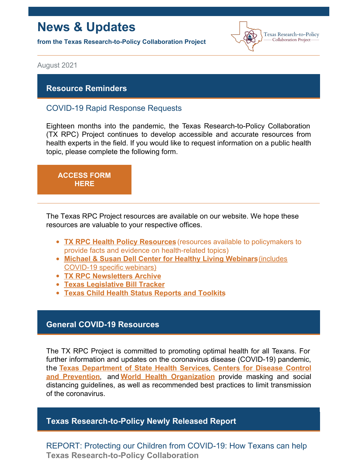# **News & Updates**

**from the Texas Research-to-Policy Collaboration Project**



August 2021

# **Resource Reminders**

# COVID-19 Rapid Response Requests

Eighteen months into the pandemic, the Texas Research-to-Policy Collaboration (TX RPC) Project continues to develop accessible and accurate resources from health experts in the field. If you would like to request information on a public health topic, please complete the following form.



The Texas RPC Project resources are available on our website. We hope these resources are valuable to your respective offices.

- **TX RPC Health Policy [Resources](https://sph.uth.edu/research/centers/dell/legislative-initiatives/texas-rpc-resources)** (resources available to policymakers to provide facts and evidence on health-related topics)
- **Michael & Susan Dell Center for Healthy Living [Webinars](https://sph.uth.edu/research/centers/dell/webinars/)**(includes COVID-19 specific webinars)
- **TX RPC [Newsletters](https://sph.uth.edu/research/centers/dell/legislative-initiatives/rpc-newsletters) Archive**
- **Texas [Legislative](https://sph.uth.edu/research/centers/dell/87th-texas-legislative-session/index.htm) Bill Tracker**
- **Texas Child Health Status [Reports](https://sph.uth.edu/research/centers/dell/texas-child-health-status-report/index.htm) and Toolkits**

## **General COVID-19 Resources**

The TX RPC Project is committed to promoting optimal health for all Texans. For further information and updates on the coronavirus disease (COVID-19) pandemic, the **Texas [Department](https://dshs.texas.gov/coronavirus/) of State Health Services**, **Centers for Disease Control and Prevention**, and **World Health [Organization](https://www.cdc.gov/coronavirus/2019-ncov/index.html)** provide masking and social distancing guidelines, as well as recommended best practices to limit transmission of the coronavirus.

# **Texas Research-to-Policy Newly Released Report**

REPORT: Protecting our Children from COVID-19: How Texans can help **Texas Research-to-Policy Collaboration**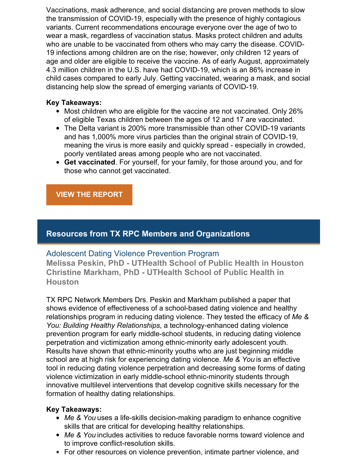Vaccinations, mask adherence, and social distancing are proven methods to slow the transmission of COVID-19, especially with the presence of highly contagious variants. Current recommendations encourage everyone over the age of two to wear a mask, regardless of vaccination status. Masks protect children and adults who are unable to be vaccinated from others who may carry the disease. COVID-19 infections among children are on the rise; however, only children 12 years of age and older are eligible to receive the vaccine. As of early August, approximately 4.3 million children in the U.S. have had COVID-19, which is an 86% increase in child cases compared to early July. Getting vaccinated, wearing a mask, and social distancing help slow the spread of emerging variants of COVID-19.

### **Key Takeaways:**

- Most children who are eligible for the vaccine are not vaccinated. Only 26% of eligible Texas children between the ages of 12 and 17 are vaccinated.
- The Delta variant is 200% more transmissible than other COVID-19 variants and has 1,000% more virus particles than the original strain of COVID-19, meaning the virus is more easily and quickly spread - especially in crowded, poorly ventilated areas among people who are not vaccinated.
- **Get vaccinated**. For yourself, for your family, for those around you, and for those who cannot get vaccinated.

# **VIEW THE [REPORT](https://sph.uth.edu/research/centers/dell/legislative-initiatives/%5b2%5d TX RPC COVID-19 protecting children_08.13.21.pdf)**

# **Resources from TX RPC Members and Organizations**

## Adolescent Dating Violence Prevention Program

**Melissa Peskin, PhD - UTHealth School of Public Health in Houston Christine Markham, PhD - UTHealth School of Public Health in Houston**

TX RPC Network Members Drs. Peskin and Markham published a paper that shows evidence of effectiveness of a school-based dating violence and healthy relationships program in reducing dating violence. They tested the efficacy of *Me & You: Building Healthy Relationships*, a technology-enhanced dating violence prevention program for early middle-school students, in reducing dating violence perpetration and victimization among ethnic-minority early adolescent youth. Results have shown that ethnic-minority youths who are just beginning middle school are at high risk for experiencing dating violence. *Me & You* is an effective tool in reducing dating violence perpetration and decreasing some forms of dating violence victimization in early middle-school ethnic-minority students through innovative multilevel interventions that develop cognitive skills necessary for the formation of healthy dating relationships.

#### **Key Takeaways:**

- *Me & You* uses a life-skills decision-making paradigm to enhance cognitive skills that are critical for developing healthy relationships.
- *Me & You* includes activities to reduce favorable norms toward violence and to improve conflict-resolution skills.
- For other resources on violence prevention, intimate partner violence, and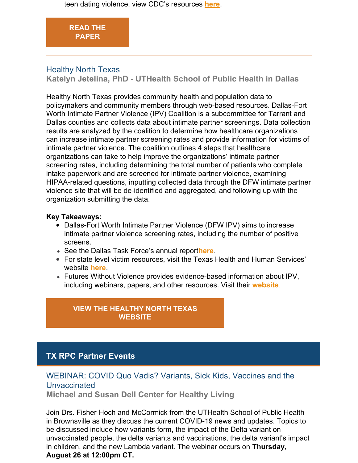teen dating violence, view CDC's resources **[here](https://www.cdc.gov/violenceprevention/intimatepartnerviolence/teendatingviolence/fastfact.html)**.

# **READ THE [PAPER](http://www.ncbi.nlm.nih.gov/pmc/articles/PMC6727296/pdf/AJPH.2019.305218.pdf)**

# Healthy North Texas

**Katelyn Jetelina, PhD - UTHealth School of Public Health in Dallas**

Healthy North Texas provides community health and population data to policymakers and community members through web-based resources. Dallas-Fort Worth Intimate Partner Violence (IPV) Coalition is a subcommittee for Tarrant and Dallas counties and collects data about intimate partner screenings. Data collection results are analyzed by the coalition to determine how healthcare organizations can increase intimate partner screening rates and provide information for victims of intimate partner violence. The coalition outlines 4 steps that healthcare organizations can take to help improve the organizations' intimate partner screening rates, including determining the total number of patients who complete intake paperwork and are screened for intimate partner violence, examining HIPAA-related questions, inputting collected data through the DFW intimate partner violence site that will be de-identified and aggregated, and following up with the organization submitting the data.

### **Key Takeaways:**

- Dallas-Fort Worth Intimate Partner Violence (DFW IPV) aims to increase intimate partner violence screening rates, including the number of positive screens.
- See the Dallas Task Force's annual report**[here](https://dallascityhall.com/government/citycouncil/district13/dvtf/Pages/default.aspx)**.
- For state level victim resources, visit the Texas Health and Human Services' website **[here](https://www.hhs.texas.gov/services/safety/family-violence-program)**.
- Futures Without Violence provides evidence-based information about IPV, including webinars, papers, and other resources. Visit their **[website](https://www.futureswithoutviolence.org/)**.

# **VIEW THE [HEALTHY](http://www.healthyntexas.org/tiles/index/display?alias=ipv) NORTH TEXAS WEBSITE**

# **TX RPC Partner Events**

# WEBINAR: COVID Quo Vadis? Variants, Sick Kids, Vaccines and the **Unvaccinated**

**Michael and Susan Dell Center for Healthy Living**

Join Drs. Fisher-Hoch and McCormick from the UTHealth School of Public Health in Brownsville as they discuss the current COVID-19 news and updates. Topics to be discussed include how variants form, the impact of the Delta variant on unvaccinated people, the delta variants and vaccinations, the delta variant's impact in children, and the new Lambda variant. The webinar occurs on **Thursday, August 26 at 12:00pm CT.**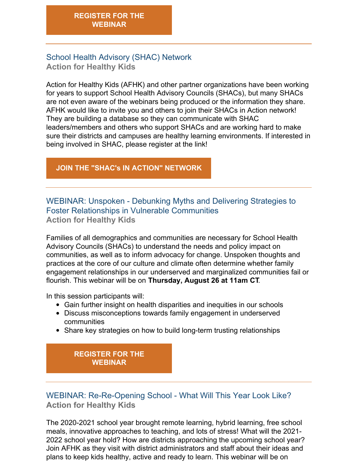# School Health Advisory (SHAC) Network **Action for Healthy Kids**

Action for Healthy Kids (AFHK) and other partner organizations have been working for years to support School Health Advisory Councils (SHACs), but many SHACs are not even aware of the webinars being produced or the information they share. AFHK would like to invite you and others to join their SHACs in Action network! They are building a database so they can communicate with SHAC leaders/members and others who support SHACs and are working hard to make sure their districts and campuses are healthy learning environments. If interested in being involved in SHAC, please register at the link!

# **JOIN THE "SHAC's IN ACTION" [NETWORK](https://www.surveymonkey.com/r/SHACNetwork)**

WEBINAR: Unspoken - Debunking Myths and Delivering Strategies to Foster Relationships in Vulnerable Communities **Action for Healthy Kids**

Families of all demographics and communities are necessary for School Health Advisory Councils (SHACs) to understand the needs and policy impact on communities, as well as to inform advocacy for change. Unspoken thoughts and practices at the core of our culture and climate often determine whether family engagement relationships in our underserved and marginalized communities fail or flourish. This webinar will be on **Thursday, August 26 at 11am CT**.

In this session participants will:

- Gain further insight on health disparities and inequities in our schools
- Discuss misconceptions towards family engagement in underserved communities
- Share key strategies on how to build long-term trusting relationships

# **[REGISTER](https://www.actionforhealthykids.org/event/unspoken-debunking-myths-and-delivering-strategies-to-foster-relationships-in-vulnerable-communities/) FOR THE WEBINAR**

WEBINAR: Re-Re-Opening School - What Will This Year Look Like? **Action for Healthy Kids**

The 2020-2021 school year brought remote learning, hybrid learning, free school meals, innovative approaches to teaching, and lots of stress! What will the 2021- 2022 school year hold? How are districts approaching the upcoming school year? Join AFHK as they visit with district administrators and staff about their ideas and plans to keep kids healthy, active and ready to learn. This webinar will be on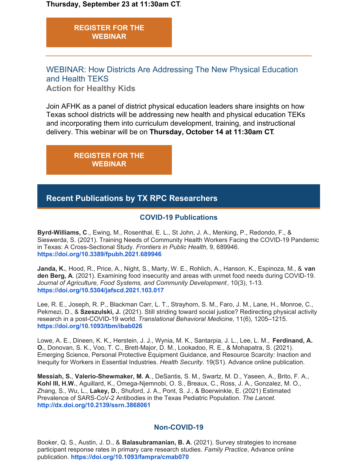**Thursday, September 23 at 11:30am CT**.

**[REGISTER](https://www.actionforhealthykids.org/event/re-re-opening-schools-what-will-this-year-look-like/) FOR THE WEBINAR**

WEBINAR: How Districts Are Addressing The New Physical Education and Health TEKS

**Action for Healthy Kids**

Join AFHK as a panel of district physical education leaders share insights on how Texas school districts will be addressing new health and physical education TEKs and incorporating them into curriculum development, training, and instructional delivery. This webinar will be on **Thursday, October 14 at 11:30am CT**.

> **[REGISTER](https://www.actionforhealthykids.org/event/tx-how-districts-are-addressing-the-new-physical-education-and-health-teks/) FOR THE WEBINAR**

# **Recent Publications by TX RPC Researchers**

### **COVID-19 Publications**

**Byrd-Williams, C**., Ewing, M., Rosenthal, E. L., St John, J. A., Menking, P., Redondo, F., & Sieswerda, S. (2021). Training Needs of Community Health Workers Facing the COVID-19 Pandemic in Texas: A Cross-Sectional Study. *Frontiers in Public Health*, 9, 689946. **<https://doi.org/10.3389/fpubh.2021.689946>**

**Janda, K.**, Hood, R., Price, A., Night, S., Marty, W. E., Rohlich, A., Hanson, K., Espinoza, M., & **van den Berg, A**. (2021). Examining food insecurity and areas with unmet food needs during COVID-19. *Journal of Agriculture, Food Systems, and Community Development*, 10(3), 1-13. **<https://doi.org/10.5304/jafscd.2021.103.017>**

Lee, R. E., Joseph, R. P., Blackman Carr, L. T., Strayhorn, S. M., Faro, J. M., Lane, H., Monroe, C., Pekmezi, D., & **Szeszulski, J.** (2021). Still striding toward social justice? Redirecting physical activity research in a post-COVID-19 world. *Translational Behavioral Medicine*, 11(6), 1205–1215. **<https://doi.org/10.1093/tbm/ibab026>**

Lowe, A. E., Dineen, K. K., Herstein, J. J., Wynia, M. K., Santarpia, J. L., Lee, L. M., **Ferdinand, A. O.**, Donovan, S. K., Voo, T. C., Brett-Major, D. M., Lookadoo, R. E., & Mohapatra, S. (2021). Emerging Science, Personal Protective Equipment Guidance, and Resource Scarcity: Inaction and Inequity for Workers in Essential Industries. *Health Security*. 19(S1). Advance online publication.

**Messiah, S.**, **Valerio-Shewmaker, M. A**., DeSantis, S. M., Swartz, M. D., Yaseen, A., Brito, F. A., **Kohl III, H.W.**, Aguillard, K., Omega-Njemnobi, O. S., Breaux, C., Ross, J. A., Gonzalez, M. O., Zhang, S., Wu, L., **Lakey, D.**, Shuford, J. A., Pont, S. J., & Boerwinkle, E. (2021) Estimated Prevalence of SARS-CoV-2 Antibodies in the Texas Pediatric Population. *The Lancet.* **<http://dx.doi.org/10.2139/ssrn.3868061>**

#### **Non-COVID-19**

Booker, Q. S., Austin, J. D., & **Balasubramanian, B. A**. (2021). Survey strategies to increase participant response rates in primary care research studies. *Family Practice*, Advance online publication. **<https://doi.org/10.1093/fampra/cmab070>**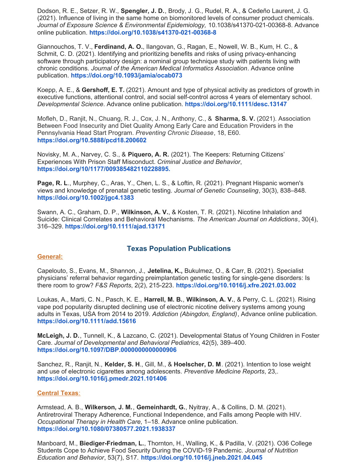Dodson, R. E., Setzer, R. W., **Spengler, J. D.**, Brody, J. G., Rudel, R. A., & Cedeño Laurent, J. G. (2021). Influence of living in the same home on biomonitored levels of consumer product chemicals. *Journal of Exposure Science & Environmental Epidemiology,* 10.1038/s41370-021-00368-8. Advance online publication. **<https://doi.org/10.1038/s41370-021-00368-8>**

Giannouchos, T. V., **Ferdinand, A. O.**, Ilangovan, G., Ragan, E., Nowell, W. B., Kum, H. C., & Schmit, C. D. (2021). Identifying and prioritizing benefits and risks of using privacy-enhancing software through participatory design: a nominal group technique study with patients living with chronic conditions. *Journal of the American Medical Informatics Association*. Advance online publication. **<https://doi.org/10.1093/jamia/ocab073>**

Koepp, A. E., & **Gershoff, E. T.** (2021). Amount and type of physical activity as predictors of growth in executive functions, attentional control, and social self-control across 4 years of elementary school. *Developmental Science*. Advance online publication[.](https://doi.org/10.1111/desc.13147) **<https://doi.org/10.1111/desc.13147>**

Mofleh, D., Ranjit, N., Chuang, R. J., Cox, J. N., Anthony, C., & **Sharma, S. V.** (2021). Association Between Food Insecurity and Diet Quality Among Early Care and Education Providers in the Pennsylvania Head Start Program. *Preventing Chronic Disease*, 18, E60. **<https://doi.org/10.5888/pcd18.200602>**

Novisky, M. A., Narvey, C. S., & **Piquero, A. R.** (2021). The Keepers: Returning Citizens' Experiences With Prison Staff Misconduct. *Criminal Justice and Behavior*, **<https://doi.org/10/1177/009385482110228895.>**

**Page, R. L**., Murphey, C., Aras, Y., Chen, L. S., & Loftin, R. (2021). Pregnant Hispanic women's views and knowledge of prenatal genetic testing. *Journal of Genetic Counseling*, 30(3), 838–848. **<https://doi.org/10.1002/jgc4.1383>**

Swann, A. C., Graham, D. P., **Wilkinson, A. V.**, & Kosten, T. R. (2021). Nicotine Inhalation and Suicide: Clinical Correlates and Behavioral Mechanisms. *The American Journal on Addictions*, 30(4), 316–329. **<https://doi.org/10.1111/ajad.13171>**

#### **Texas Population Publications**

#### **General:**

Capelouto, S., Evans, M., Shannon, J., **Jetelina, K.,** Bukulmez, O., & Carr, B. (2021). Specialist physicians' referral behavior regarding preimplantation genetic testing for single-gene disorders: Is there room to grow? *F&S Reports*, 2(2), 215-223. **<https://doi.org/10.1016/j.xfre.2021.03.002>**

Loukas, A., Marti, C. N., Pasch, K. E., **Harrell, M. B.**, **Wilkinson, A. V.**, & Perry, C. L. (2021). Rising vape pod popularity disrupted declining use of electronic nicotine delivery systems among young adults in Texas, USA from 2014 to 2019. *Addiction (Abingdon, England)*, Advance online publication. **<https://doi.org/10.1111/add.15616>**

**McLeigh, J. D.**, Tunnell, K., & Lazcano, C. (2021). Developmental Status of Young Children in Foster Care. *Journal of Developmental and Behavioral Pediatrics*, 42(5), 389–400. **<https://doi.org/10.1097/DBP.0000000000000906>**

Sanchez, R., Ranjit, N., **Kelder, S. H**., Gill, M., & **Hoelscher, D. M**. (2021). Intention to lose weight and use of electronic cigarettes among adolescents. *Preventive Medicine Reports*, 23,. **<https://doi.org/10.1016/j.pmedr.2021.101406>**

#### **Central Texas**:

Armstead, A. B., **Wilkerson, J. M.**, **Gemeinhardt, G.**, Nyitray, A., & Collins, D. M. (2021). Antiretroviral Therapy Adherence, Functional Independence, and Falls among People with HIV. *Occupational Therapy in Health Care*, 1–18. Advance online publication. **<https://doi.org/10.1080/07380577.2021.1938337>**

Manboard, M., **Biediger-Friedman, L.**, Thornton, H., Walling, K., & Padilla, V. (2021). O36 College Students Cope to Achieve Food Security During the COVID-19 Pandemic. *Journal of Nutrition Education and Behavior*, 53(7), S17. **<https://doi.org/10.1016/j.jneb.2021.04.045>**